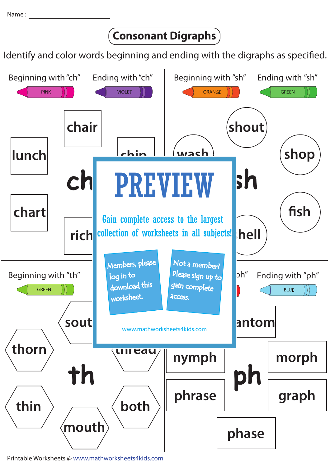## **Consonant Digraphs**

Identify and color words beginning and ending with the digraphs as specified.



Printable Worksheets @ www.mathworksheets4kids.com